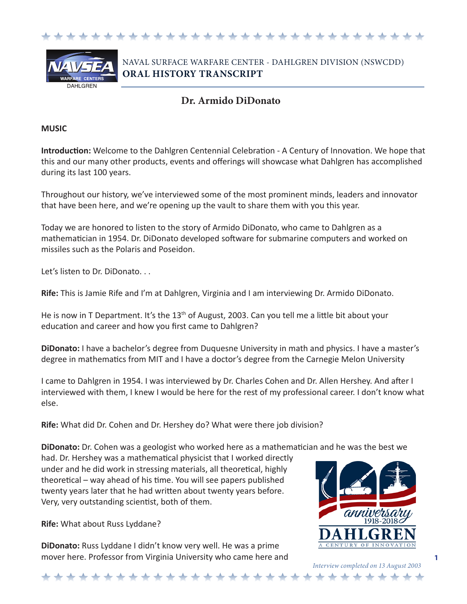



NAVAL SURFACE WARFARE CENTER - DAHLGREN DIVISION (NSWCDD) **ORAL HISTORY TRANSCRIPT**

## **Dr. Armido DiDonato**

#### **MUSIC**

**Introduction:** Welcome to the Dahlgren Centennial Celebration - A Century of Innovation. We hope that this and our many other products, events and offerings will showcase what Dahlgren has accomplished during its last 100 years.

Throughout our history, we've interviewed some of the most prominent minds, leaders and innovator that have been here, and we're opening up the vault to share them with you this year.

Today we are honored to listen to the story of Armido DiDonato, who came to Dahlgren as a mathematician in 1954. Dr. DiDonato developed software for submarine computers and worked on missiles such as the Polaris and Poseidon.

Let's listen to Dr. DiDonato. . .

**Rife:** This is Jamie Rife and I'm at Dahlgren, Virginia and I am interviewing Dr. Armido DiDonato.

He is now in T Department. It's the 13<sup>th</sup> of August, 2003. Can you tell me a little bit about your education and career and how you first came to Dahlgren?

**DiDonato:** I have a bachelor's degree from Duquesne University in math and physics. I have a master's degree in mathematics from MIT and I have a doctor's degree from the Carnegie Melon University

I came to Dahlgren in 1954. I was interviewed by Dr. Charles Cohen and Dr. Allen Hershey. And after I interviewed with them, I knew I would be here for the rest of my professional career. I don't know what else.

**Rife:** What did Dr. Cohen and Dr. Hershey do? What were there job division?

**DiDonato:** Dr. Cohen was a geologist who worked here as a mathematician and he was the best we

had. Dr. Hershey was a mathematical physicist that I worked directly under and he did work in stressing materials, all theoretical, highly theoretical – way ahead of his time. You will see papers published twenty years later that he had written about twenty years before. Very, very outstanding scientist, both of them.

**Rife:** What about Russ Lyddane?

**DiDonato:** Russ Lyddane I didn't know very well. He was a prime mover here. Professor from Virginia University who came here and



*Interview completed on 13 August 2003*

**1**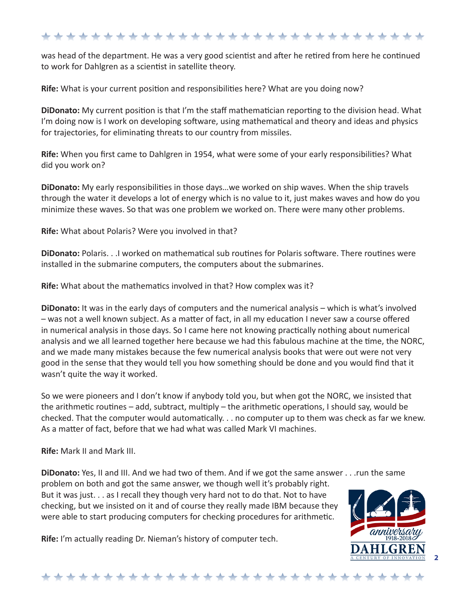was head of the department. He was a very good scientist and after he retired from here he continued to work for Dahlgren as a scientist in satellite theory.

**Rife:** What is your current position and responsibilities here? What are you doing now?

**DiDonato:** My current position is that I'm the staff mathematician reporting to the division head. What I'm doing now is I work on developing software, using mathematical and theory and ideas and physics for trajectories, for eliminating threats to our country from missiles.

**Rife:** When you first came to Dahlgren in 1954, what were some of your early responsibilities? What did you work on?

**DiDonato:** My early responsibilities in those days…we worked on ship waves. When the ship travels through the water it develops a lot of energy which is no value to it, just makes waves and how do you minimize these waves. So that was one problem we worked on. There were many other problems.

**Rife:** What about Polaris? Were you involved in that?

**DiDonato:** Polaris. . .I worked on mathematical sub routines for Polaris software. There routines were installed in the submarine computers, the computers about the submarines.

**Rife:** What about the mathematics involved in that? How complex was it?

**DiDonato:** It was in the early days of computers and the numerical analysis – which is what's involved – was not a well known subject. As a matter of fact, in all my education I never saw a course offered in numerical analysis in those days. So I came here not knowing practically nothing about numerical analysis and we all learned together here because we had this fabulous machine at the time, the NORC, and we made many mistakes because the few numerical analysis books that were out were not very good in the sense that they would tell you how something should be done and you would find that it wasn't quite the way it worked.

So we were pioneers and I don't know if anybody told you, but when got the NORC, we insisted that the arithmetic routines – add, subtract, multiply – the arithmetic operations, I should say, would be checked. That the computer would automatically. . . no computer up to them was check as far we knew. As a matter of fact, before that we had what was called Mark VI machines.

**Rife:** Mark II and Mark III.

**DiDonato:** Yes, II and III. And we had two of them. And if we got the same answer . . .run the same problem on both and got the same answer, we though well it's probably right. But it was just. . . as I recall they though very hard not to do that. Not to have checking, but we insisted on it and of course they really made IBM because they were able to start producing computers for checking procedures for arithmetic.

**Rife:** I'm actually reading Dr. Nieman's history of computer tech.



**2**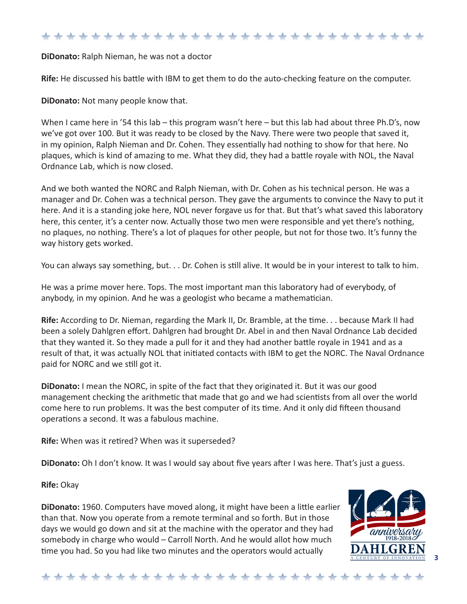**DiDonato:** Ralph Nieman, he was not a doctor

**Rife:** He discussed his battle with IBM to get them to do the auto-checking feature on the computer.

**DiDonato:** Not many people know that.

When I came here in '54 this lab – this program wasn't here – but this lab had about three Ph.D's, now we've got over 100. But it was ready to be closed by the Navy. There were two people that saved it, in my opinion, Ralph Nieman and Dr. Cohen. They essentially had nothing to show for that here. No plaques, which is kind of amazing to me. What they did, they had a battle royale with NOL, the Naval Ordnance Lab, which is now closed.

And we both wanted the NORC and Ralph Nieman, with Dr. Cohen as his technical person. He was a manager and Dr. Cohen was a technical person. They gave the arguments to convince the Navy to put it here. And it is a standing joke here, NOL never forgave us for that. But that's what saved this laboratory here, this center, it's a center now. Actually those two men were responsible and yet there's nothing, no plaques, no nothing. There's a lot of plaques for other people, but not for those two. It's funny the way history gets worked.

You can always say something, but. . . Dr. Cohen is still alive. It would be in your interest to talk to him.

He was a prime mover here. Tops. The most important man this laboratory had of everybody, of anybody, in my opinion. And he was a geologist who became a mathematician.

**Rife:** According to Dr. Nieman, regarding the Mark II, Dr. Bramble, at the time. . . because Mark II had been a solely Dahlgren effort. Dahlgren had brought Dr. Abel in and then Naval Ordnance Lab decided that they wanted it. So they made a pull for it and they had another battle royale in 1941 and as a result of that, it was actually NOL that initiated contacts with IBM to get the NORC. The Naval Ordnance paid for NORC and we still got it.

**DiDonato:** I mean the NORC, in spite of the fact that they originated it. But it was our good management checking the arithmetic that made that go and we had scientists from all over the world come here to run problems. It was the best computer of its time. And it only did fifteen thousand operations a second. It was a fabulous machine.

**Rife:** When was it retired? When was it superseded?

**DiDonato:** Oh I don't know. It was I would say about five years after I was here. That's just a guess.

**Rife:** Okay

**DiDonato:** 1960. Computers have moved along, it might have been a little earlier than that. Now you operate from a remote terminal and so forth. But in those days we would go down and sit at the machine with the operator and they had somebody in charge who would – Carroll North. And he would allot how much time you had. So you had like two minutes and the operators would actually

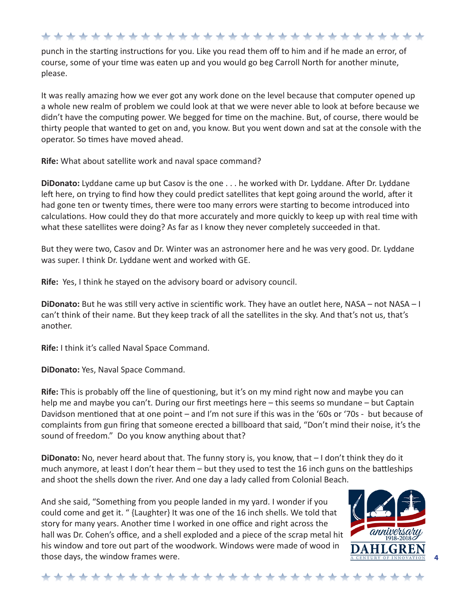punch in the starting instructions for you. Like you read them off to him and if he made an error, of course, some of your time was eaten up and you would go beg Carroll North for another minute, please.

It was really amazing how we ever got any work done on the level because that computer opened up a whole new realm of problem we could look at that we were never able to look at before because we didn't have the computing power. We begged for time on the machine. But, of course, there would be thirty people that wanted to get on and, you know. But you went down and sat at the console with the operator. So times have moved ahead.

**Rife:** What about satellite work and naval space command?

**DiDonato:** Lyddane came up but Casov is the one . . . he worked with Dr. Lyddane. After Dr. Lyddane left here, on trying to find how they could predict satellites that kept going around the world, after it had gone ten or twenty times, there were too many errors were starting to become introduced into calculations. How could they do that more accurately and more quickly to keep up with real time with what these satellites were doing? As far as I know they never completely succeeded in that.

But they were two, Casov and Dr. Winter was an astronomer here and he was very good. Dr. Lyddane was super. I think Dr. Lyddane went and worked with GE.

**Rife:** Yes, I think he stayed on the advisory board or advisory council.

**DiDonato:** But he was still very active in scientific work. They have an outlet here, NASA – not NASA – I can't think of their name. But they keep track of all the satellites in the sky. And that's not us, that's another.

**Rife:** I think it's called Naval Space Command.

**DiDonato:** Yes, Naval Space Command.

**Rife:** This is probably off the line of questioning, but it's on my mind right now and maybe you can help me and maybe you can't. During our first meetings here – this seems so mundane – but Captain Davidson mentioned that at one point – and I'm not sure if this was in the '60s or '70s - but because of complaints from gun firing that someone erected a billboard that said, "Don't mind their noise, it's the sound of freedom." Do you know anything about that?

**DiDonato:** No, never heard about that. The funny story is, you know, that – I don't think they do it much anymore, at least I don't hear them – but they used to test the 16 inch guns on the battleships and shoot the shells down the river. And one day a lady called from Colonial Beach.

And she said, "Something from you people landed in my yard. I wonder if you could come and get it. " {Laughter} It was one of the 16 inch shells. We told that story for many years. Another time I worked in one office and right across the hall was Dr. Cohen's office, and a shell exploded and a piece of the scrap metal hit his window and tore out part of the woodwork. Windows were made of wood in those days, the window frames were.



**4**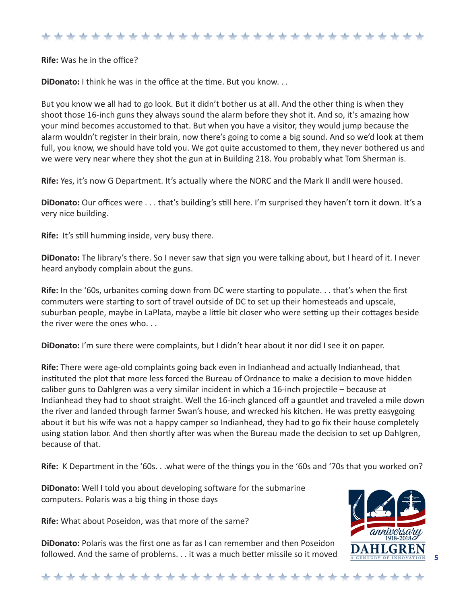**Rife:** Was he in the office?

**DiDonato:** I think he was in the office at the time. But you know. . .

But you know we all had to go look. But it didn't bother us at all. And the other thing is when they shoot those 16-inch guns they always sound the alarm before they shot it. And so, it's amazing how your mind becomes accustomed to that. But when you have a visitor, they would jump because the alarm wouldn't register in their brain, now there's going to come a big sound. And so we'd look at them full, you know, we should have told you. We got quite accustomed to them, they never bothered us and we were very near where they shot the gun at in Building 218. You probably what Tom Sherman is.

**Rife:** Yes, it's now G Department. It's actually where the NORC and the Mark II andII were housed.

**DiDonato:** Our offices were . . . that's building's still here. I'm surprised they haven't torn it down. It's a very nice building.

**Rife:** It's still humming inside, very busy there.

**DiDonato:** The library's there. So I never saw that sign you were talking about, but I heard of it. I never heard anybody complain about the guns.

**Rife:** In the '60s, urbanites coming down from DC were starting to populate. . . that's when the first commuters were starting to sort of travel outside of DC to set up their homesteads and upscale, suburban people, maybe in LaPlata, maybe a little bit closer who were setting up their cottages beside the river were the ones who. . .

**DiDonato:** I'm sure there were complaints, but I didn't hear about it nor did I see it on paper.

**Rife:** There were age-old complaints going back even in Indianhead and actually Indianhead, that instituted the plot that more less forced the Bureau of Ordnance to make a decision to move hidden caliber guns to Dahlgren was a very similar incident in which a 16-inch projectile – because at Indianhead they had to shoot straight. Well the 16-inch glanced off a gauntlet and traveled a mile down the river and landed through farmer Swan's house, and wrecked his kitchen. He was pretty easygoing about it but his wife was not a happy camper so Indianhead, they had to go fix their house completely using station labor. And then shortly after was when the Bureau made the decision to set up Dahlgren, because of that.

**Rife:** K Department in the '60s. . .what were of the things you in the '60s and '70s that you worked on?

**DiDonato:** Well I told you about developing software for the submarine computers. Polaris was a big thing in those days

**Rife:** What about Poseidon, was that more of the same?

**DiDonato:** Polaris was the first one as far as I can remember and then Poseidon followed. And the same of problems. . . it was a much better missile so it moved

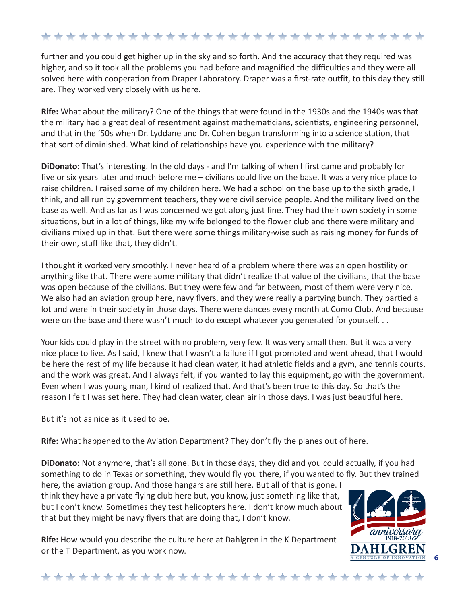further and you could get higher up in the sky and so forth. And the accuracy that they required was higher, and so it took all the problems you had before and magnified the difficulties and they were all solved here with cooperation from Draper Laboratory. Draper was a first-rate outfit, to this day they still are. They worked very closely with us here.

**Rife:** What about the military? One of the things that were found in the 1930s and the 1940s was that the military had a great deal of resentment against mathematicians, scientists, engineering personnel, and that in the '50s when Dr. Lyddane and Dr. Cohen began transforming into a science station, that that sort of diminished. What kind of relationships have you experience with the military?

**DiDonato:** That's interesting. In the old days - and I'm talking of when I first came and probably for five or six years later and much before me – civilians could live on the base. It was a very nice place to raise children. I raised some of my children here. We had a school on the base up to the sixth grade, I think, and all run by government teachers, they were civil service people. And the military lived on the base as well. And as far as I was concerned we got along just fine. They had their own society in some situations, but in a lot of things, like my wife belonged to the flower club and there were military and civilians mixed up in that. But there were some things military-wise such as raising money for funds of their own, stuff like that, they didn't.

I thought it worked very smoothly. I never heard of a problem where there was an open hostility or anything like that. There were some military that didn't realize that value of the civilians, that the base was open because of the civilians. But they were few and far between, most of them were very nice. We also had an aviation group here, navy flyers, and they were really a partying bunch. They partied a lot and were in their society in those days. There were dances every month at Como Club. And because were on the base and there wasn't much to do except whatever you generated for yourself...

Your kids could play in the street with no problem, very few. It was very small then. But it was a very nice place to live. As I said, I knew that I wasn't a failure if I got promoted and went ahead, that I would be here the rest of my life because it had clean water, it had athletic fields and a gym, and tennis courts, and the work was great. And I always felt, if you wanted to lay this equipment, go with the government. Even when I was young man, I kind of realized that. And that's been true to this day. So that's the reason I felt I was set here. They had clean water, clean air in those days. I was just beautiful here.

But it's not as nice as it used to be.

**Rife:** What happened to the Aviation Department? They don't fly the planes out of here.

**DiDonato:** Not anymore, that's all gone. But in those days, they did and you could actually, if you had something to do in Texas or something, they would fly you there, if you wanted to fly. But they trained

here, the aviation group. And those hangars are still here. But all of that is gone. I think they have a private flying club here but, you know, just something like that, but I don't know. Sometimes they test helicopters here. I don't know much about that but they might be navy flyers that are doing that, I don't know.

**Rife:** How would you describe the culture here at Dahlgren in the K Department or the T Department, as you work now.



**6**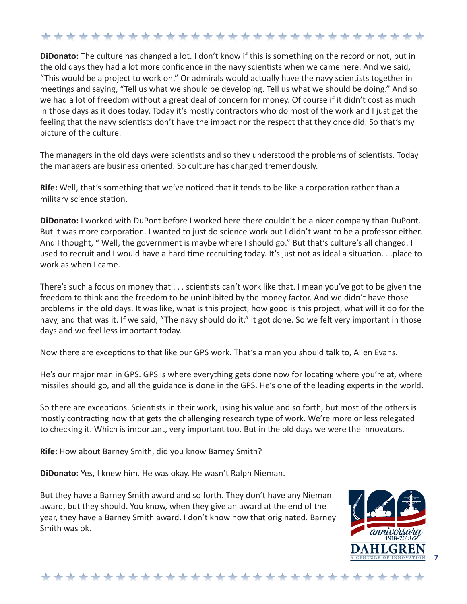**DiDonato:** The culture has changed a lot. I don't know if this is something on the record or not, but in the old days they had a lot more confidence in the navy scientists when we came here. And we said, "This would be a project to work on." Or admirals would actually have the navy scientists together in meetings and saying, "Tell us what we should be developing. Tell us what we should be doing." And so we had a lot of freedom without a great deal of concern for money. Of course if it didn't cost as much in those days as it does today. Today it's mostly contractors who do most of the work and I just get the feeling that the navy scientists don't have the impact nor the respect that they once did. So that's my picture of the culture.

The managers in the old days were scientists and so they understood the problems of scientists. Today the managers are business oriented. So culture has changed tremendously.

**Rife:** Well, that's something that we've noticed that it tends to be like a corporation rather than a military science station.

**DiDonato:** I worked with DuPont before I worked here there couldn't be a nicer company than DuPont. But it was more corporation. I wanted to just do science work but I didn't want to be a professor either. And I thought, " Well, the government is maybe where I should go." But that's culture's all changed. I used to recruit and I would have a hard time recruiting today. It's just not as ideal a situation. . .place to work as when I came.

There's such a focus on money that . . . scientists can't work like that. I mean you've got to be given the freedom to think and the freedom to be uninhibited by the money factor. And we didn't have those problems in the old days. It was like, what is this project, how good is this project, what will it do for the navy, and that was it. If we said, "The navy should do it," it got done. So we felt very important in those days and we feel less important today.

Now there are exceptions to that like our GPS work. That's a man you should talk to, Allen Evans.

He's our major man in GPS. GPS is where everything gets done now for locating where you're at, where missiles should go, and all the guidance is done in the GPS. He's one of the leading experts in the world.

So there are exceptions. Scientists in their work, using his value and so forth, but most of the others is mostly contracting now that gets the challenging research type of work. We're more or less relegated to checking it. Which is important, very important too. But in the old days we were the innovators.

**Rife:** How about Barney Smith, did you know Barney Smith?

**DiDonato:** Yes, I knew him. He was okay. He wasn't Ralph Nieman.

But they have a Barney Smith award and so forth. They don't have any Nieman award, but they should. You know, when they give an award at the end of the year, they have a Barney Smith award. I don't know how that originated. Barney Smith was ok.

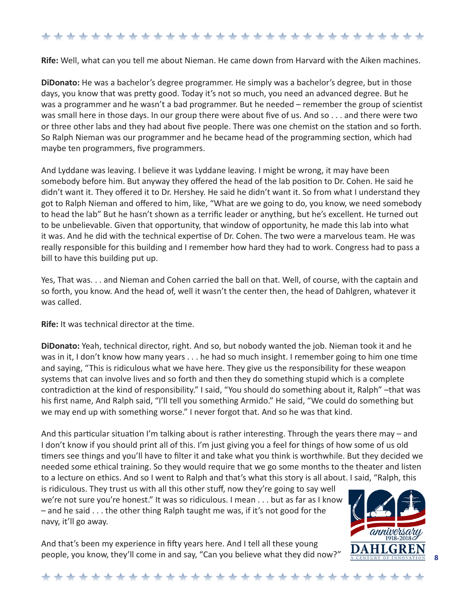**Rife:** Well, what can you tell me about Nieman. He came down from Harvard with the Aiken machines.

**DiDonato:** He was a bachelor's degree programmer. He simply was a bachelor's degree, but in those days, you know that was pretty good. Today it's not so much, you need an advanced degree. But he was a programmer and he wasn't a bad programmer. But he needed – remember the group of scientist was small here in those days. In our group there were about five of us. And so . . . and there were two or three other labs and they had about five people. There was one chemist on the station and so forth. So Ralph Nieman was our programmer and he became head of the programming section, which had maybe ten programmers, five programmers.

And Lyddane was leaving. I believe it was Lyddane leaving. I might be wrong, it may have been somebody before him. But anyway they offered the head of the lab position to Dr. Cohen. He said he didn't want it. They offered it to Dr. Hershey. He said he didn't want it. So from what I understand they got to Ralph Nieman and offered to him, like, "What are we going to do, you know, we need somebody to head the lab" But he hasn't shown as a terrific leader or anything, but he's excellent. He turned out to be unbelievable. Given that opportunity, that window of opportunity, he made this lab into what it was. And he did with the technical expertise of Dr. Cohen. The two were a marvelous team. He was really responsible for this building and I remember how hard they had to work. Congress had to pass a bill to have this building put up.

Yes, That was. . . and Nieman and Cohen carried the ball on that. Well, of course, with the captain and so forth, you know. And the head of, well it wasn't the center then, the head of Dahlgren, whatever it was called.

**Rife:** It was technical director at the time.

**DiDonato:** Yeah, technical director, right. And so, but nobody wanted the job. Nieman took it and he was in it, I don't know how many years . . . he had so much insight. I remember going to him one time and saying, "This is ridiculous what we have here. They give us the responsibility for these weapon systems that can involve lives and so forth and then they do something stupid which is a complete contradiction at the kind of responsibility." I said, "You should do something about it, Ralph" –that was his first name, And Ralph said, "I'll tell you something Armido." He said, "We could do something but we may end up with something worse." I never forgot that. And so he was that kind.

And this particular situation I'm talking about is rather interesting. Through the years there may – and I don't know if you should print all of this. I'm just giving you a feel for things of how some of us old timers see things and you'll have to filter it and take what you think is worthwhile. But they decided we needed some ethical training. So they would require that we go some months to the theater and listen to a lecture on ethics. And so I went to Ralph and that's what this story is all about. I said, "Ralph, this

is ridiculous. They trust us with all this other stuff, now they're going to say well we're not sure you're honest." It was so ridiculous. I mean . . . but as far as I know  $-$  and he said  $\ldots$  the other thing Ralph taught me was, if it's not good for the navy, it'll go away.

And that's been my experience in fifty years here. And I tell all these young people, you know, they'll come in and say, "Can you believe what they did now?"



**8**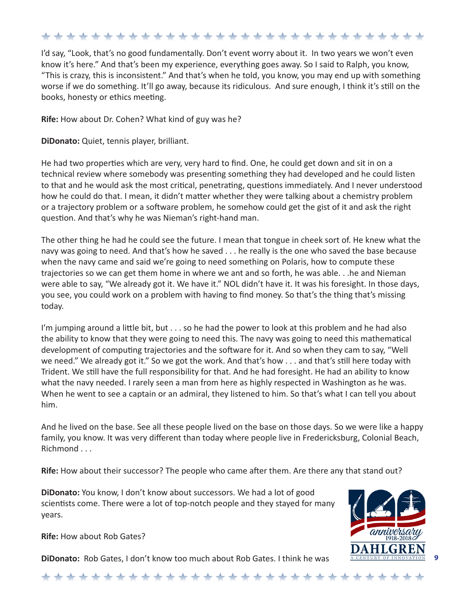I'd say, "Look, that's no good fundamentally. Don't event worry about it. In two years we won't even know it's here." And that's been my experience, everything goes away. So I said to Ralph, you know, "This is crazy, this is inconsistent." And that's when he told, you know, you may end up with something worse if we do something. It'll go away, because its ridiculous. And sure enough, I think it's still on the books, honesty or ethics meeting.

**Rife:** How about Dr. Cohen? What kind of guy was he?

**DiDonato:** Quiet, tennis player, brilliant.

He had two properties which are very, very hard to find. One, he could get down and sit in on a technical review where somebody was presenting something they had developed and he could listen to that and he would ask the most critical, penetrating, questions immediately. And I never understood how he could do that. I mean, it didn't matter whether they were talking about a chemistry problem or a trajectory problem or a software problem, he somehow could get the gist of it and ask the right question. And that's why he was Nieman's right-hand man.

The other thing he had he could see the future. I mean that tongue in cheek sort of. He knew what the navy was going to need. And that's how he saved . . . he really is the one who saved the base because when the navy came and said we're going to need something on Polaris, how to compute these trajectories so we can get them home in where we ant and so forth, he was able. . .he and Nieman were able to say, "We already got it. We have it." NOL didn't have it. It was his foresight. In those days, you see, you could work on a problem with having to find money. So that's the thing that's missing today.

I'm jumping around a little bit, but . . . so he had the power to look at this problem and he had also the ability to know that they were going to need this. The navy was going to need this mathematical development of computing trajectories and the software for it. And so when they cam to say, "Well we need." We already got it." So we got the work. And that's how . . . and that's still here today with Trident. We still have the full responsibility for that. And he had foresight. He had an ability to know what the navy needed. I rarely seen a man from here as highly respected in Washington as he was. When he went to see a captain or an admiral, they listened to him. So that's what I can tell you about him.

And he lived on the base. See all these people lived on the base on those days. So we were like a happy family, you know. It was very different than today where people live in Fredericksburg, Colonial Beach, Richmond . . .

**Rife:** How about their successor? The people who came after them. Are there any that stand out?

**DiDonato:** You know, I don't know about successors. We had a lot of good scientists come. There were a lot of top-notch people and they stayed for many years.



**Rife:** How about Rob Gates?

**DiDonato:** Rob Gates, I don't know too much about Rob Gates. I think he was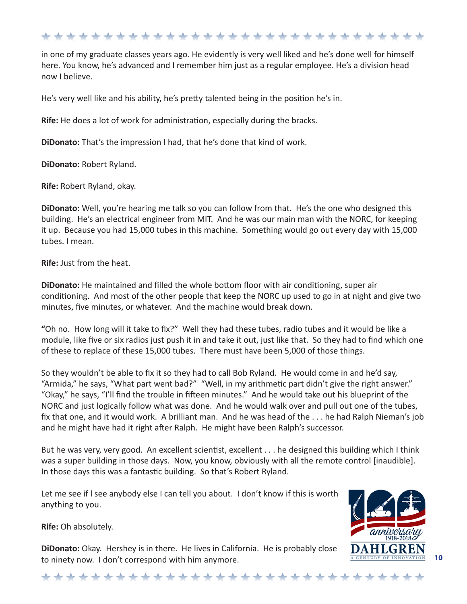in one of my graduate classes years ago. He evidently is very well liked and he's done well for himself here. You know, he's advanced and I remember him just as a regular employee. He's a division head now I believe.

He's very well like and his ability, he's pretty talented being in the position he's in.

**Rife:** He does a lot of work for administration, especially during the bracks.

**DiDonato:** That's the impression I had, that he's done that kind of work.

**DiDonato:** Robert Ryland.

**Rife:** Robert Ryland, okay.

**DiDonato:** Well, you're hearing me talk so you can follow from that. He's the one who designed this building. He's an electrical engineer from MIT. And he was our main man with the NORC, for keeping it up. Because you had 15,000 tubes in this machine. Something would go out every day with 15,000 tubes. I mean.

**Rife:** Just from the heat.

**DiDonato:** He maintained and filled the whole bottom floor with air conditioning, super air conditioning. And most of the other people that keep the NORC up used to go in at night and give two minutes, five minutes, or whatever. And the machine would break down.

**"**Oh no. How long will it take to fix?" Well they had these tubes, radio tubes and it would be like a module, like five or six radios just push it in and take it out, just like that. So they had to find which one of these to replace of these 15,000 tubes. There must have been 5,000 of those things.

So they wouldn't be able to fix it so they had to call Bob Ryland. He would come in and he'd say, "Armida," he says, "What part went bad?" "Well, in my arithmetic part didn't give the right answer." "Okay," he says, "I'll find the trouble in fifteen minutes." And he would take out his blueprint of the NORC and just logically follow what was done. And he would walk over and pull out one of the tubes, fix that one, and it would work. A brilliant man. And he was head of the . . . he had Ralph Nieman's job and he might have had it right after Ralph. He might have been Ralph's successor.

But he was very, very good. An excellent scientist, excellent . . . he designed this building which I think was a super building in those days. Now, you know, obviously with all the remote control [inaudible]. In those days this was a fantastic building. So that's Robert Ryland.

Let me see if I see anybody else I can tell you about. I don't know if this is worth anything to you.

**Rife:** Oh absolutely.

**DiDonato:** Okay. Hershey is in there. He lives in California. He is probably close to ninety now. I don't correspond with him anymore.



# \*\*\*\*\*\*\*\*\*\*\*\*\*\*\*\*\*\*\*\*\*\*\*\*\*\*\*\*\*\*\*\*\*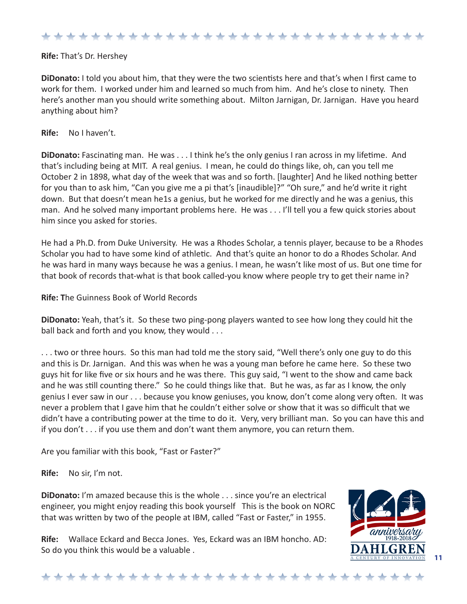#### **Rife:** That's Dr. Hershey

**DiDonato:** I told you about him, that they were the two scientists here and that's when I first came to work for them. I worked under him and learned so much from him. And he's close to ninety. Then here's another man you should write something about. Milton Jarnigan, Dr. Jarnigan. Have you heard anything about him?

**Rife:** No I haven't.

**DiDonato:** Fascinating man. He was . . . I think he's the only genius I ran across in my lifetime. And that's including being at MIT. A real genius. I mean, he could do things like, oh, can you tell me October 2 in 1898, what day of the week that was and so forth. [laughter] And he liked nothing better for you than to ask him, "Can you give me a pi that's [inaudible]?" "Oh sure," and he'd write it right down. But that doesn't mean he1s a genius, but he worked for me directly and he was a genius, this man. And he solved many important problems here. He was . . . I'll tell you a few quick stories about him since you asked for stories.

He had a Ph.D. from Duke University. He was a Rhodes Scholar, a tennis player, because to be a Rhodes Scholar you had to have some kind of athletic. And that's quite an honor to do a Rhodes Scholar. And he was hard in many ways because he was a genius. I mean, he wasn't like most of us. But one time for that book of records that-what is that book called-you know where people try to get their name in?

**Rife: T**he Guinness Book of World Records

**DiDonato:** Yeah, that's it. So these two ping-pong players wanted to see how long they could hit the ball back and forth and you know, they would . . .

. . . two or three hours. So this man had told me the story said, "Well there's only one guy to do this and this is Dr. Jarnigan. And this was when he was a young man before he came here. So these two guys hit for like five or six hours and he was there. This guy said, "I went to the show and came back and he was still counting there." So he could things like that. But he was, as far as I know, the only genius I ever saw in our . . . because you know geniuses, you know, don't come along very often. It was never a problem that I gave him that he couldn't either solve or show that it was so difficult that we didn't have a contributing power at the time to do it. Very, very brilliant man. So you can have this and if you don't . . . if you use them and don't want them anymore, you can return them.

Are you familiar with this book, "Fast or Faster?"

**Rife:** No sir, I'm not.

**DiDonato:** I'm amazed because this is the whole . . . since you're an electrical engineer, you might enjoy reading this book yourself This is the book on NORC that was written by two of the people at IBM, called "Fast or Faster," in 1955.

**Rife:** Wallace Eckard and Becca Jones. Yes, Eckard was an IBM honcho. AD: So do you think this would be a valuable .